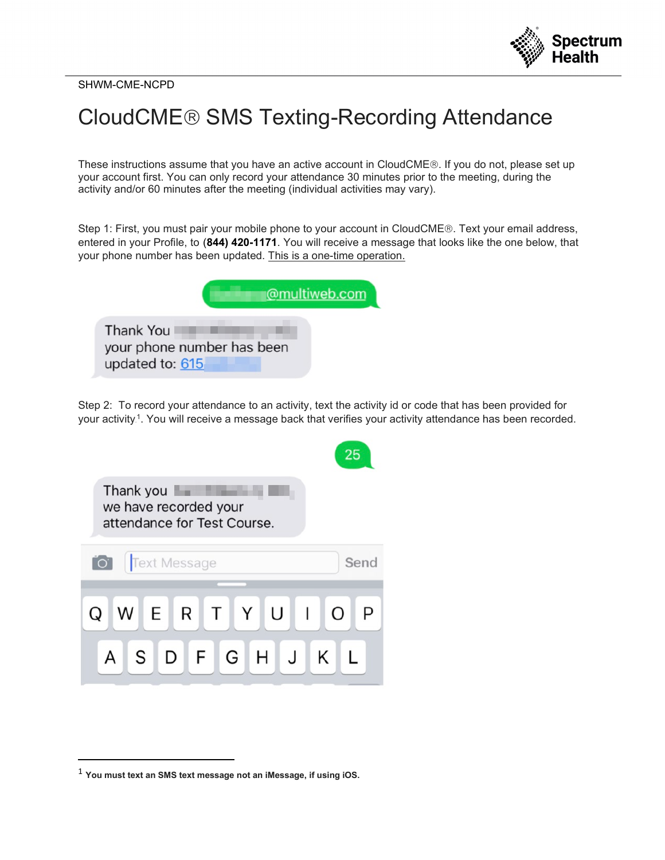

SHWM-CME-NCPD

## CloudCME® SMS Texting-Recording Attendance

These instructions assume that you have an active account in CloudCME®. If you do not, please set up your account first. You can only record your attendance 30 minutes prior to the meeting, during the activity and/or 60 minutes after the meeting (individual activities may vary).

Step 1: First, you must pair your mobile phone to your account in CloudCME®. Text your email address, entered in your Profile, to (**844) 420-1171**. You will receive a message that looks like the one below, that your phone number has been updated. This is a one-time operation.

|                                     | @multiweb.com              |
|-------------------------------------|----------------------------|
| <b>Thank You</b><br>updated to: 615 | your phone number has been |

Step 2: To record your attendance to an activity, text the activity id or code that has been provided for your activity.1. You will receive a message back that verifies your activity attendance has been recorded.

| Thank you<br>we have recorded your<br>attendance for Test Course. |        |
|-------------------------------------------------------------------|--------|
| <b>Text Message</b><br>$\overline{C}$                             | Send   |
| ERTYU<br>$\mathbf{L}$<br>W<br>G<br>H<br>J<br>S<br>D<br>$F \perp$  | O<br>Κ |

<sup>1</sup> **You must text an SMS text message not an iMessage, if using iOS.**